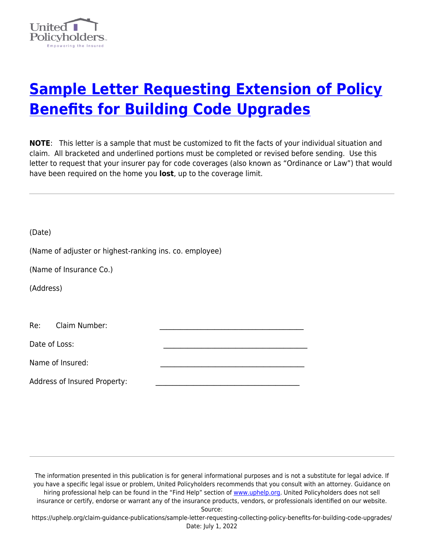

## **[Sample Letter Requesting Extension of Policy](https://uphelp.org/claim-guidance-publications/sample-letter-requesting-collecting-policy-benefits-for-building-code-upgrades/) [Benefits for Building Code Upgrades](https://uphelp.org/claim-guidance-publications/sample-letter-requesting-collecting-policy-benefits-for-building-code-upgrades/)**

**NOTE**: This letter is a sample that must be customized to fit the facts of your individual situation and claim. All bracketed and underlined portions must be completed or revised before sending. Use this letter to request that your insurer pay for code coverages (also known as "Ordinance or Law") that would have been required on the home you **lost**, up to the coverage limit.

(Date)

|  |  | (Name of adjuster or highest-ranking ins. co. employee) |
|--|--|---------------------------------------------------------|
|  |  |                                                         |

(Name of Insurance Co.)

(Address)

|  | Re: | Claim Number: |  |
|--|-----|---------------|--|
|--|-----|---------------|--|

Date of Loss:

Name of Insured:

Address of Insured Property:

The information presented in this publication is for general informational purposes and is not a substitute for legal advice. If you have a specific legal issue or problem, United Policyholders recommends that you consult with an attorney. Guidance on hiring professional help can be found in the "Find Help" section of [www.uphelp.org.](http://www.uphelp.org/) United Policyholders does not sell insurance or certify, endorse or warrant any of the insurance products, vendors, or professionals identified on our website. Source:

https://uphelp.org/claim-guidance-publications/sample-letter-requesting-collecting-policy-benefits-for-building-code-upgrades/ Date: July 1, 2022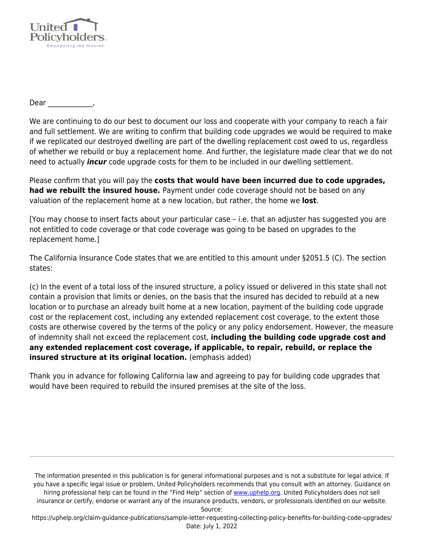

Dear \_\_\_\_\_\_\_\_\_\_\_\_\_,

We are continuing to do our best to document our loss and cooperate with your company to reach a fair and full settlement. We are writing to confirm that building code upgrades we would be required to make if we replicated our destroyed dwelling are part of the dwelling replacement cost owed to us, regardless of whether we rebuild or buy a replacement home. And further, the legislature made clear that we do not need to actually *incur* code upgrade costs for them to be included in our dwelling settlement.

Please confirm that you will pay the **costs that would have been incurred due to code upgrades, had we rebuilt the insured house.** Payment under code coverage should not be based on any valuation of the replacement home at a new location, but rather, the home we **lost**.

[You may choose to insert facts about your particular case – i.e. that an adjuster has suggested you are not entitled to code coverage or that code coverage was going to be based on upgrades to the replacement home.]

The California Insurance Code states that we are entitled to this amount under §2051.5 (C). The section states:

(c) In the event of a total loss of the insured structure, a policy issued or delivered in this state shall not contain a provision that limits or denies, on the basis that the insured has decided to rebuild at a new location or to purchase an already built home at a new location, payment of the building code upgrade cost or the replacement cost, including any extended replacement cost coverage, to the extent those costs are otherwise covered by the terms of the policy or any policy endorsement. However, the measure of indemnity shall not exceed the replacement cost, **including the building code upgrade cost and any extended replacement cost coverage, if applicable, to repair, rebuild, or replace the insured structure at its original location.** (emphasis added)

Thank you in advance for following California law and agreeing to pay for building code upgrades that would have been required to rebuild the insured premises at the site of the loss.

The information presented in this publication is for general informational purposes and is not a substitute for legal advice. If you have a specific legal issue or problem, United Policyholders recommends that you consult with an attorney. Guidance on hiring professional help can be found in the "Find Help" section of [www.uphelp.org.](http://www.uphelp.org/) United Policyholders does not sell insurance or certify, endorse or warrant any of the insurance products, vendors, or professionals identified on our website. Source:

https://uphelp.org/claim-guidance-publications/sample-letter-requesting-collecting-policy-benefits-for-building-code-upgrades/ Date: July 1, 2022